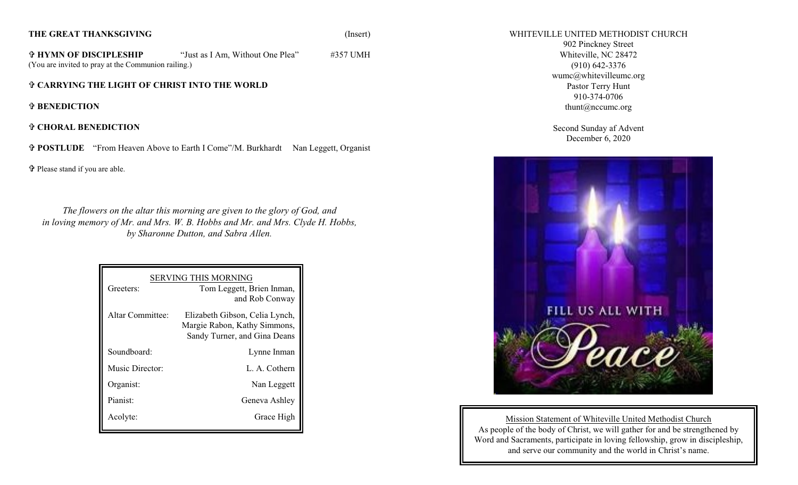## **THE GREAT THANKSGIVING** (Insert)

**The HYMN OF DISCIPLESHIP** "Just as I Am, Without One Plea" #357 UMH (You are invited to pray at the Communion railing.)

V **CARRYING THE LIGHT OF CHRIST INTO THE WORLD**

V **BENEDICTION**

V **CHORAL BENEDICTION**

V **POSTLUDE** "From Heaven Above to Earth I Come"/M. Burkhardt Nan Leggett, Organist

V Please stand if you are able.

*The flowers on the altar this morning are given to the glory of God, and in loving memory of Mr. and Mrs. W. B. Hobbs and Mr. and Mrs. Clyde H. Hobbs, by Sharonne Dutton, and Sabra Allen.*

| <b>SERVING THIS MORNING</b> |                                |  |  |
|-----------------------------|--------------------------------|--|--|
| Greeters:                   | Tom Leggett, Brien Inman,      |  |  |
|                             | and Rob Conway                 |  |  |
| Altar Committee:            | Elizabeth Gibson, Celia Lynch, |  |  |
|                             | Margie Rabon, Kathy Simmons,   |  |  |
|                             | Sandy Turner, and Gina Deans   |  |  |
| Soundboard:                 | Lynne Inman                    |  |  |
| Music Director:             | L. A. Cothern                  |  |  |
| Organist:                   | Nan Leggett                    |  |  |
| Pianist:                    | Geneva Ashley                  |  |  |
| Acolyte:                    | Grace High                     |  |  |
|                             |                                |  |  |

#### WHITEVILLE UNITED METHODIST CHURCH

902 Pinckney Street Whiteville, NC 28472 (910) 642-3376 wumc@whitevilleumc.org Pastor Terry Hunt 910-374-0706 thunt@nccumc.org

Second Sunday af Advent December 6, 2020



Mission Statement of Whiteville United Methodist Church As people of the body of Christ, we will gather for and be strengthened by Word and Sacraments, participate in loving fellowship, grow in discipleship, and serve our community and the world in Christ's name.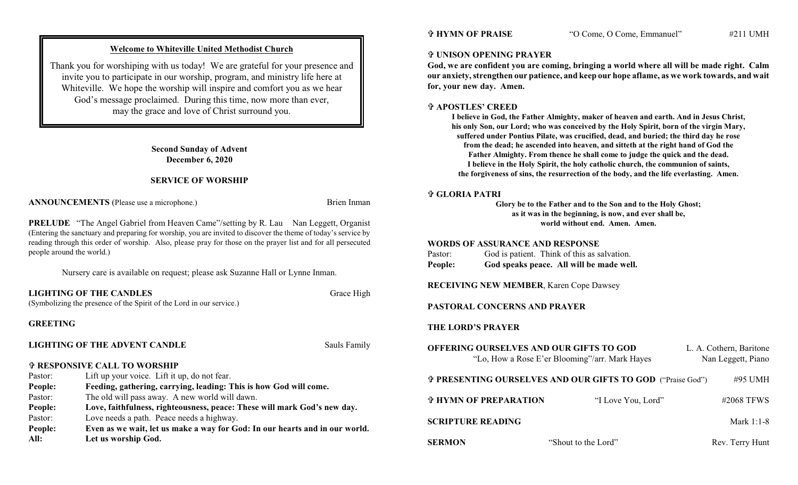## **Welcome to Whiteville United Methodist Church**

Thank you for worshiping with us today! We are grateful for your presence and invite you to participate in our worship, program, and ministry life here at Whiteville. We hope the worship will inspire and comfort you as we hear God's message proclaimed. During this time, now more than ever, may the grace and love of Christ surround you.

## **Second Sunday of Advent December 6, 2020**

## **SERVICE OF WORSHIP**

**ANNOUNCEMENTS** (Please use a microphone.) Brien Inman

**PRELUDE** "The Angel Gabriel from Heaven Came"/setting by R. Lau Nan Leggett, Organist (Entering the sanctuary and preparing for worship, you are invited to discover the theme of today's service by reading through this order of worship. Also, please pray for those on the prayer list and for all persecuted people around the world.)

Nursery care is available on request; please ask Suzanne Hall or Lynne Inman.

**LIGHTING OF THE CANDLES** Grace High (Symbolizing the presence of the Spirit of the Lord in our service.)

**GREETING**

**LIGHTING OF THE ADVENT CANDLE** Sauls Family Sauls Family Sauls Family Sauls Family Sauls Family Sauls Family Sauls F

# V **RESPONSIVE CALL TO WORSHIP**

| Even as we wait, let us make a way for God: In our hearts and in our world. |  |  |
|-----------------------------------------------------------------------------|--|--|
| Love needs a path. Peace needs a highway.                                   |  |  |
| Love, faithfulness, righteousness, peace: These will mark God's new day.    |  |  |
| The old will pass away. A new world will dawn.                              |  |  |
| Feeding, gathering, carrying, leading: This is how God will come.           |  |  |
| Lift up your voice. Lift it up, do not fear.                                |  |  |
|                                                                             |  |  |

### V **HYMN OF PRAISE** "O Come, O Come, Emmanuel" #211 UMH

## V **UNISON OPENING PRAYER**

**God, we are confident you are coming, bringing a world where all will be made right. Calm our anxiety, strengthen our patience, and keep our hope aflame, as we work towards, and wait for, your new day. Amen.**

# V **APOSTLES' CREED**

**I believe in God, the Father Almighty, maker of heaven and earth. And in Jesus Christ, his only Son, our Lord; who was conceived by the Holy Spirit, born of the virgin Mary, suffered under Pontius Pilate, was crucified, dead, and buried; the third day he rose from the dead; he ascended into heaven, and sitteth at the right hand of God the Father Almighty. From thence he shall come to judge the quick and the dead. I believe in the Holy Spirit, the holy catholic church, the communion of saints, the forgiveness of sins, the resurrection of the body, and the life everlasting. Amen.**

## V **GLORIA PATRI**

**Glory be to the Father and to the Son and to the Holy Ghost; as it was in the beginning, is now, and ever shall be, world without end. Amen. Amen.**

## **WORDS OF ASSURANCE AND RESPONSE**

| People: | God speaks peace. All will be made well.    |
|---------|---------------------------------------------|
| Pastor: | God is patient. Think of this as salvation. |

**RECEIVING NEW MEMBER**, Karen Cope Dawsey

**PASTORAL CONCERNS AND PRAYER** 

# **THE LORD'S PRAYER**

| Family |                                    | OFFERING OURSELVES AND OUR GIFTS TO GOD<br>"Lo, How a Rose E'er Blooming"/arr. Mark Hayes |                 |
|--------|------------------------------------|-------------------------------------------------------------------------------------------|-----------------|
|        |                                    | <b>T</b> PRESENTING OURSELVES AND OUR GIFTS TO GOD ("Praise God")                         | #95 UMH         |
| ay.    | <b><i>THYMN OF PREPARATION</i></b> | "I Love You, Lord"                                                                        | #2068 TFWS      |
| vorld. | <b>SCRIPTURE READING</b>           |                                                                                           |                 |
|        | <b>SERMON</b>                      | "Shout to the Lord"                                                                       | Rev. Terry Hunt |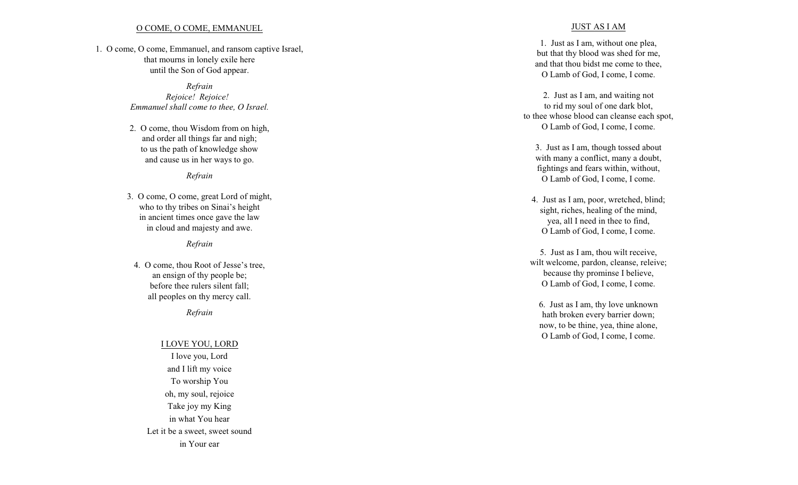## O COME, O COME, EMMANUEL

1. O come, O come, Emmanuel, and ransom captive Israel , that mourns in lonely exile here until the Son of God appear .

> *Refrai n Rejoice! Rejoice! Emmanuel shall come to thee, O Israel.*

> 2. O come, thou Wisdo m from on high, and order all things far and nigh; to us the path of knowledge show and cause us in her ways to go.

> > *Refrai n*

3. O come, O come, great Lord of might, who to thy tribes on Sinai's height in ancient ti mes once gave the la w in cloud and majesty and awe .

*Refrai n*

4. O come, thou Root of Jesse's tree, an ensign of thy people be ; before thee rulers silent fall ; all peoples on thy mercy call.

*Refrai n*

#### I LOVE YOU, LORD

I love you, Lord and I lift my voic e To worship You oh, my soul, rejoic e Take joy my King in what You hear Let it be a sweet, sweet sound in Your ea r

## JUST AS I AM

1. Just as I am, without one plea, but that thy blood was shed for me, and that thou bidst me come to thee, O Lamb of God, I come, I come.

2. Just as I am, and waiting not to rid my soul of one dark blot , to thee whose blood can cleanse each spot, O Lamb of God, I come, I come.

3. Just as I am, though tossed about with many a conflict, many a doubt , fightings and fears within, without, O Lamb of God, I come, I come.

4. Just as I am, poor, wretched, blind ; sight, riches, healing of the mind, yea, all I need in thee to find, O Lamb of God, I come, I come.

5. Just as I am, thou wilt receive, wilt welcome, pardon, cleanse, releive; because thy prominse I believe, O Lamb of God, I come, I come.

6. Just as I am, thy love unknown hath broken every barrier down; now, to be thine, yea, thine alone, O Lamb of God, I come, I come.